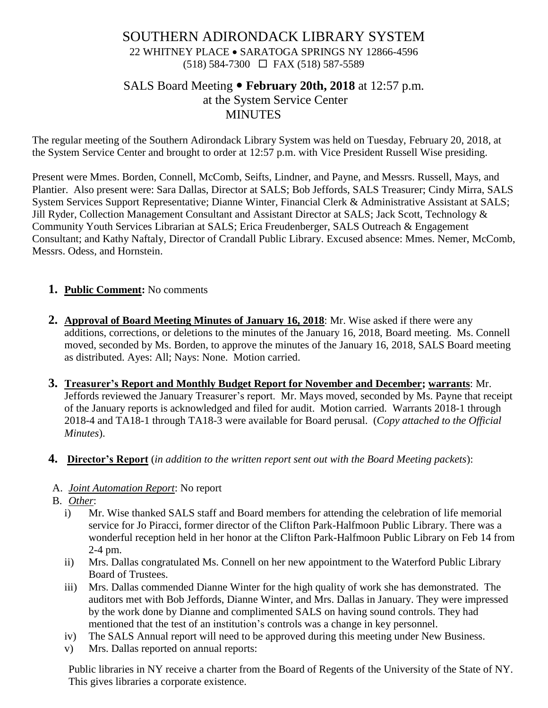## SOUTHERN ADIRONDACK LIBRARY SYSTEM 22 WHITNEY PLACE • SARATOGA SPRINGS NY 12866-4596 (518) 584-7300 FAX (518) 587-5589

# SALS Board Meeting **February 20th, 2018** at 12:57 p.m. at the System Service Center **MINUTES**

The regular meeting of the Southern Adirondack Library System was held on Tuesday, February 20, 2018, at the System Service Center and brought to order at 12:57 p.m. with Vice President Russell Wise presiding.

Present were Mmes. Borden, Connell, McComb, Seifts, Lindner, and Payne, and Messrs. Russell, Mays, and Plantier. Also present were: Sara Dallas, Director at SALS; Bob Jeffords, SALS Treasurer; Cindy Mirra, SALS System Services Support Representative; Dianne Winter, Financial Clerk & Administrative Assistant at SALS; Jill Ryder, Collection Management Consultant and Assistant Director at SALS; Jack Scott, Technology & Community Youth Services Librarian at SALS; Erica Freudenberger, SALS Outreach & Engagement Consultant; and Kathy Naftaly, Director of Crandall Public Library. Excused absence: Mmes. Nemer, McComb, Messrs. Odess, and Hornstein.

## **1. Public Comment:** No comments

- **2. Approval of Board Meeting Minutes of January 16, 2018**: Mr. Wise asked if there were any additions, corrections, or deletions to the minutes of the January 16, 2018, Board meeting. Ms. Connell moved, seconded by Ms. Borden, to approve the minutes of the January 16, 2018, SALS Board meeting as distributed. Ayes: All; Nays: None. Motion carried.
- **3. Treasurer's Report and Monthly Budget Report for November and December; warrants**: Mr. Jeffords reviewed the January Treasurer's report. Mr. Mays moved, seconded by Ms. Payne that receipt of the January reports is acknowledged and filed for audit. Motion carried. Warrants 2018-1 through 2018-4 and TA18-1 through TA18-3 were available for Board perusal. (*Copy attached to the Official Minutes*).
- **4. Director's Report** (*in addition to the written report sent out with the Board Meeting packets*):

## A. *Joint Automation Report*: No report

- B. *Other*:
	- i) Mr. Wise thanked SALS staff and Board members for attending the celebration of life memorial service for Jo Piracci, former director of the Clifton Park-Halfmoon Public Library. There was a wonderful reception held in her honor at the Clifton Park-Halfmoon Public Library on Feb 14 from 2-4 pm.
	- ii) Mrs. Dallas congratulated Ms. Connell on her new appointment to the Waterford Public Library Board of Trustees.
	- iii) Mrs. Dallas commended Dianne Winter for the high quality of work she has demonstrated. The auditors met with Bob Jeffords, Dianne Winter, and Mrs. Dallas in January. They were impressed by the work done by Dianne and complimented SALS on having sound controls. They had mentioned that the test of an institution's controls was a change in key personnel.
	- iv) The SALS Annual report will need to be approved during this meeting under New Business.
	- v) Mrs. Dallas reported on annual reports:

Public libraries in NY receive a charter from the Board of Regents of the University of the State of NY. This gives libraries a corporate existence.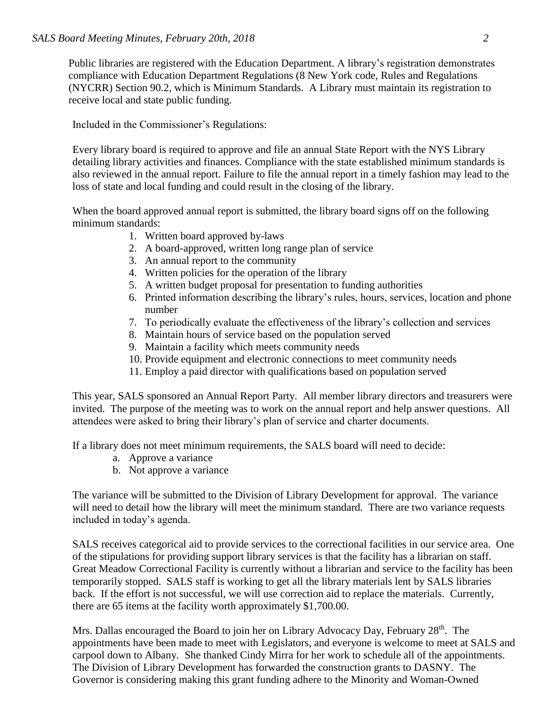Public libraries are registered with the Education Department. A library's registration demonstrates compliance with Education Department Regulations (8 New York code, Rules and Regulations (NYCRR) Section 90.2, which is Minimum Standards. A Library must maintain its registration to receive local and state public funding.

Included in the Commissioner's Regulations:

Every library board is required to approve and file an annual State Report with the NYS Library detailing library activities and finances. Compliance with the state established minimum standards is also reviewed in the annual report. Failure to file the annual report in a timely fashion may lead to the loss of state and local funding and could result in the closing of the library.

When the board approved annual report is submitted, the library board signs off on the following minimum standards:

- 1. Written board approved by-laws
- 2. A board-approved, written long range plan of service
- 3. An annual report to the community
- 4. Written policies for the operation of the library
- 5. A written budget proposal for presentation to funding authorities
- 6. Printed information describing the library's rules, hours, services, location and phone number
- 7. To periodically evaluate the effectiveness of the library's collection and services
- 8. Maintain hours of service based on the population served
- 9. Maintain a facility which meets community needs
- 10. Provide equipment and electronic connections to meet community needs
- 11. Employ a paid director with qualifications based on population served

This year, SALS sponsored an Annual Report Party. All member library directors and treasurers were invited. The purpose of the meeting was to work on the annual report and help answer questions. All attendees were asked to bring their library's plan of service and charter documents.

If a library does not meet minimum requirements, the SALS board will need to decide:

- a. Approve a variance
- b. Not approve a variance

The variance will be submitted to the Division of Library Development for approval. The variance will need to detail how the library will meet the minimum standard. There are two variance requests included in today's agenda.

SALS receives categorical aid to provide services to the correctional facilities in our service area. One of the stipulations for providing support library services is that the facility has a librarian on staff. Great Meadow Correctional Facility is currently without a librarian and service to the facility has been temporarily stopped. SALS staff is working to get all the library materials lent by SALS libraries back. If the effort is not successful, we will use correction aid to replace the materials. Currently, there are 65 items at the facility worth approximately \$1,700.00.

Mrs. Dallas encouraged the Board to join her on Library Advocacy Day, February 28<sup>th</sup>. The appointments have been made to meet with Legislators, and everyone is welcome to meet at SALS and carpool down to Albany. She thanked Cindy Mirra for her work to schedule all of the appointments. The Division of Library Development has forwarded the construction grants to DASNY. The Governor is considering making this grant funding adhere to the Minority and Woman-Owned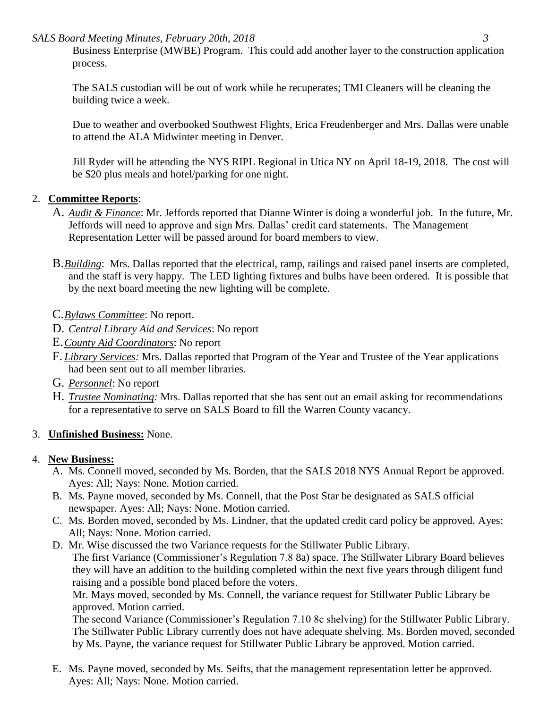*SALS Board Meeting Minutes, February 20th, 2018 3*

Business Enterprise (MWBE) Program. This could add another layer to the construction application process.

The SALS custodian will be out of work while he recuperates; TMI Cleaners will be cleaning the building twice a week.

Due to weather and overbooked Southwest Flights, Erica Freudenberger and Mrs. Dallas were unable to attend the ALA Midwinter meeting in Denver.

Jill Ryder will be attending the NYS RIPL Regional in Utica NY on April 18-19, 2018. The cost will be \$20 plus meals and hotel/parking for one night.

### 2. **Committee Reports**:

- A. *Audit & Finance*: Mr. Jeffords reported that Dianne Winter is doing a wonderful job. In the future, Mr. Jeffords will need to approve and sign Mrs. Dallas' credit card statements. The Management Representation Letter will be passed around for board members to view.
- B.*Building*: Mrs. Dallas reported that the electrical, ramp, railings and raised panel inserts are completed, and the staff is very happy. The LED lighting fixtures and bulbs have been ordered. It is possible that by the next board meeting the new lighting will be complete.
- C.*Bylaws Committee*: No report.
- D. *Central Library Aid and Services*: No report
- E.*County Aid Coordinators*: No report
- F. *Library Services:* Mrs. Dallas reported that Program of the Year and Trustee of the Year applications had been sent out to all member libraries.
- G. *Personnel*: No report
- H. *Trustee Nominating:* Mrs. Dallas reported that she has sent out an email asking for recommendations for a representative to serve on SALS Board to fill the Warren County vacancy.

## 3. **Unfinished Business:** None.

## 4. **New Business:**

- A. Ms. Connell moved, seconded by Ms. Borden, that the SALS 2018 NYS Annual Report be approved. Ayes: All; Nays: None. Motion carried.
- B. Ms. Payne moved, seconded by Ms. Connell, that the Post Star be designated as SALS official newspaper. Ayes: All; Nays: None. Motion carried.
- C. Ms. Borden moved, seconded by Ms. Lindner, that the updated credit card policy be approved. Ayes: All; Nays: None. Motion carried.
- D. Mr. Wise discussed the two Variance requests for the Stillwater Public Library. The first Variance (Commissioner's Regulation 7.8 8a) space. The Stillwater Library Board believes they will have an addition to the building completed within the next five years through diligent fund raising and a possible bond placed before the voters.

Mr. Mays moved, seconded by Ms. Connell, the variance request for Stillwater Public Library be approved. Motion carried.

The second Variance (Commissioner's Regulation 7.10 8c shelving) for the Stillwater Public Library. The Stillwater Public Library currently does not have adequate shelving. Ms. Borden moved, seconded by Ms. Payne, the variance request for Stillwater Public Library be approved. Motion carried.

E. Ms. Payne moved, seconded by Ms. Seifts, that the management representation letter be approved. Ayes: All; Nays: None. Motion carried.